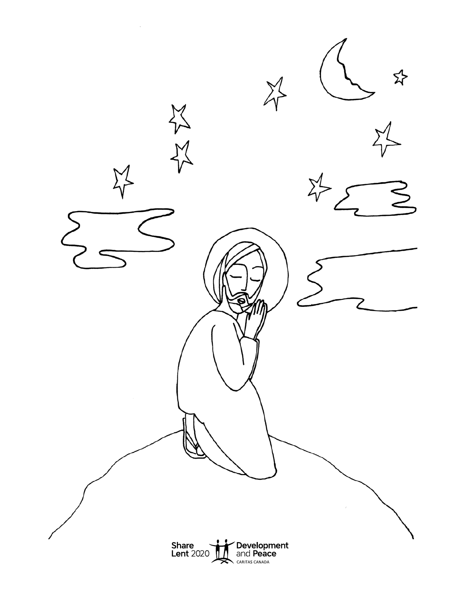